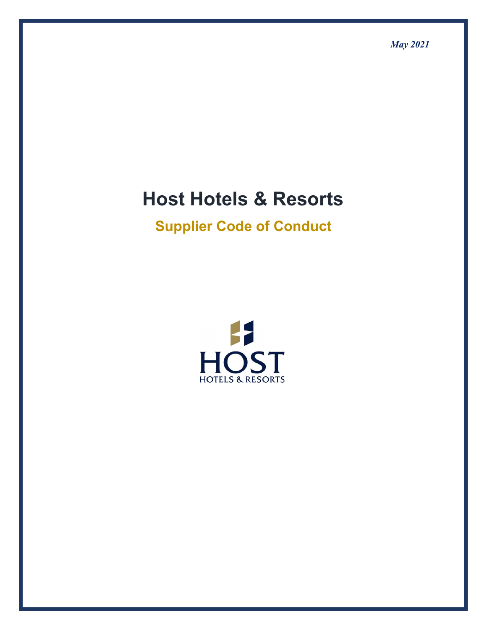# **Host Hotels & Resorts**

# **Supplier Code of Conduct**

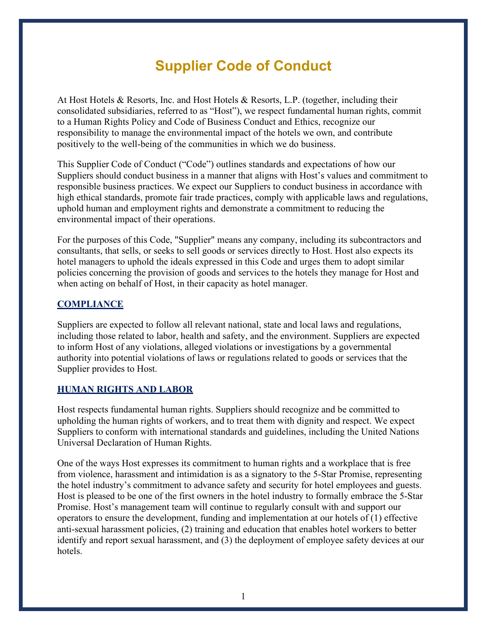# **Supplier Code of Conduct**

At Host Hotels & Resorts, Inc. and Host Hotels & Resorts, L.P. (together, including their consolidated subsidiaries, referred to as "Host"), we respect fundamental human rights, commit to a Human Rights Policy and Code of Business Conduct and Ethics, recognize our responsibility to manage the environmental impact of the hotels we own, and contribute positively to the well-being of the communities in which we do business.

This Supplier Code of Conduct ("Code") outlines standards and expectations of how our Suppliers should conduct business in a manner that aligns with Host's values and commitment to responsible business practices. We expect our Suppliers to conduct business in accordance with high ethical standards, promote fair trade practices, comply with applicable laws and regulations, uphold human and employment rights and demonstrate a commitment to reducing the environmental impact of their operations.

For the purposes of this Code, "Supplier" means any company, including its subcontractors and consultants, that sells, or seeks to sell goods or services directly to Host. Host also expects its hotel managers to uphold the ideals expressed in this Code and urges them to adopt similar policies concerning the provision of goods and services to the hotels they manage for Host and when acting on behalf of Host, in their capacity as hotel manager.

### **COMPLIANCE**

Suppliers are expected to follow all relevant national, state and local laws and regulations, including those related to labor, health and safety, and the environment. Suppliers are expected to inform Host of any violations, alleged violations or investigations by a governmental authority into potential violations of laws or regulations related to goods or services that the Supplier provides to Host.

### **HUMAN RIGHTS AND LABOR**

Host respects fundamental human rights. Suppliers should recognize and be committed to upholding the human rights of workers, and to treat them with dignity and respect. We expect Suppliers to conform with international standards and guidelines, including the United Nations Universal Declaration of Human Rights.

One of the ways Host expresses its commitment to human rights and a workplace that is free from violence, harassment and intimidation is as a signatory to the 5-Star Promise, representing the hotel industry's commitment to advance safety and security for hotel employees and guests. Host is pleased to be one of the first owners in the hotel industry to formally embrace the 5-Star Promise. Host's management team will continue to regularly consult with and support our operators to ensure the development, funding and implementation at our hotels of (1) effective anti-sexual harassment policies, (2) training and education that enables hotel workers to better identify and report sexual harassment, and (3) the deployment of employee safety devices at our hotels.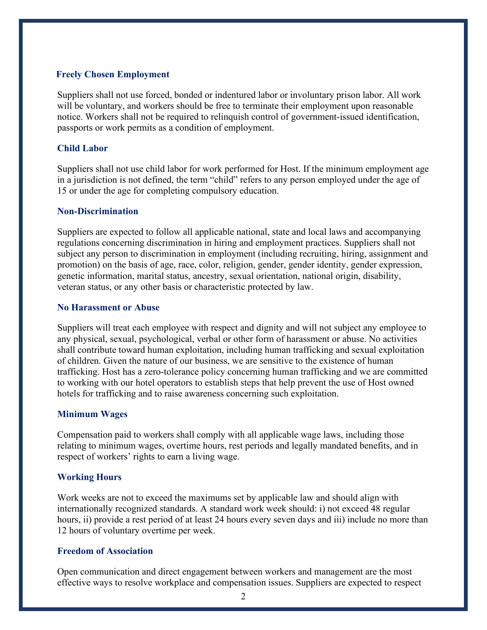#### **Freely Chosen Employment**

Suppliers shall not use forced, bonded or indentured labor or involuntary prison labor. All work will be voluntary, and workers should be free to terminate their employment upon reasonable notice. Workers shall not be required to relinquish control of government-issued identification, passports or work permits as a condition of employment.

#### **Child Labor**

Suppliers shall not use child labor for work performed for Host. If the minimum employment age in a jurisdiction is not defined, the term "child" refers to any person employed under the age of 15 or under the age for completing compulsory education.

#### **Non-Discrimination**

Suppliers are expected to follow all applicable national, state and local laws and accompanying regulations concerning discrimination in hiring and employment practices. Suppliers shall not subject any person to discrimination in employment (including recruiting, hiring, assignment and promotion) on the basis of age, race, color, religion, gender, gender identity, gender expression, genetic information, marital status, ancestry, sexual orientation, national origin, disability, veteran status, or any other basis or characteristic protected by law.

#### **No Harassment or Abuse**

Suppliers will treat each employee with respect and dignity and will not subject any employee to any physical, sexual, psychological, verbal or other form of harassment or abuse. No activities shall contribute toward human exploitation, including human trafficking and sexual exploitation of children. Given the nature of our business, we are sensitive to the existence of human trafficking. Host has a zero-tolerance policy concerning human trafficking and we are committed to working with our hotel operators to establish steps that help prevent the use of Host owned hotels for trafficking and to raise awareness concerning such exploitation.

#### **Minimum Wages**

Compensation paid to workers shall comply with all applicable wage laws, including those relating to minimum wages, overtime hours, rest periods and legally mandated benefits, and in respect of workers' rights to earn a living wage.

#### **Working Hours**

Work weeks are not to exceed the maximums set by applicable law and should align with internationally recognized standards. A standard work week should: i) not exceed 48 regular hours, ii) provide a rest period of at least 24 hours every seven days and iii) include no more than 12 hours of voluntary overtime per week.

#### **Freedom of Association**

Open communication and direct engagement between workers and management are the most effective ways to resolve workplace and compensation issues. Suppliers are expected to respect

2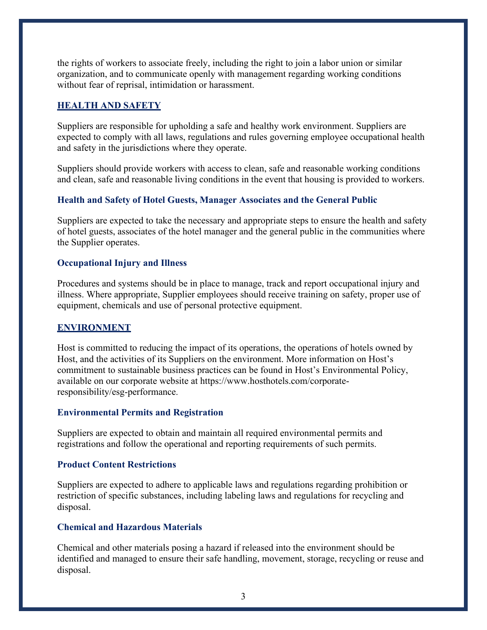the rights of workers to associate freely, including the right to join a labor union or similar organization, and to communicate openly with management regarding working conditions without fear of reprisal, intimidation or harassment.

#### **HEALTH AND SAFETY**

Suppliers are responsible for upholding a safe and healthy work environment. Suppliers are expected to comply with all laws, regulations and rules governing employee occupational health and safety in the jurisdictions where they operate.

Suppliers should provide workers with access to clean, safe and reasonable working conditions and clean, safe and reasonable living conditions in the event that housing is provided to workers.

#### **Health and Safety of Hotel Guests, Manager Associates and the General Public**

Suppliers are expected to take the necessary and appropriate steps to ensure the health and safety of hotel guests, associates of the hotel manager and the general public in the communities where the Supplier operates.

#### **Occupational Injury and Illness**

Procedures and systems should be in place to manage, track and report occupational injury and illness. Where appropriate, Supplier employees should receive training on safety, proper use of equipment, chemicals and use of personal protective equipment.

#### **ENVIRONMENT**

Host is committed to reducing the impact of its operations, the operations of hotels owned by Host, and the activities of its Suppliers on the environment. More information on Host's commitment to sustainable business practices can be found in Host's Environmental Policy, available on our corporate website at https://www.hosthotels.com/corporateresponsibility/esg-performance.

#### **Environmental Permits and Registration**

Suppliers are expected to obtain and maintain all required environmental permits and registrations and follow the operational and reporting requirements of such permits.

#### **Product Content Restrictions**

Suppliers are expected to adhere to applicable laws and regulations regarding prohibition or restriction of specific substances, including labeling laws and regulations for recycling and disposal.

#### **Chemical and Hazardous Materials**

Chemical and other materials posing a hazard if released into the environment should be identified and managed to ensure their safe handling, movement, storage, recycling or reuse and disposal.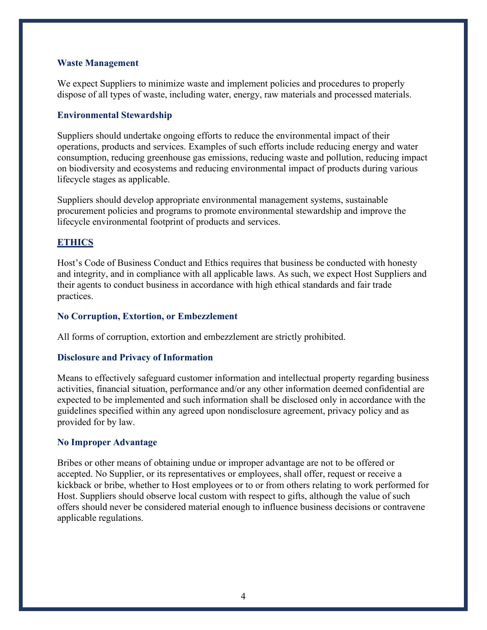#### **Waste Management**

We expect Suppliers to minimize waste and implement policies and procedures to properly dispose of all types of waste, including water, energy, raw materials and processed materials.

#### **Environmental Stewardship**

Suppliers should undertake ongoing efforts to reduce the environmental impact of their operations, products and services. Examples of such efforts include reducing energy and water consumption, reducing greenhouse gas emissions, reducing waste and pollution, reducing impact on biodiversity and ecosystems and reducing environmental impact of products during various lifecycle stages as applicable.

Suppliers should develop appropriate environmental management systems, sustainable procurement policies and programs to promote environmental stewardship and improve the lifecycle environmental footprint of products and services.

#### **ETHICS**

Host's Code of Business Conduct and Ethics requires that business be conducted with honesty and integrity, and in compliance with all applicable laws. As such, we expect Host Suppliers and their agents to conduct business in accordance with high ethical standards and fair trade practices.

#### **No Corruption, Extortion, or Embezzlement**

All forms of corruption, extortion and embezzlement are strictly prohibited.

#### **Disclosure and Privacy of Information**

Means to effectively safeguard customer information and intellectual property regarding business activities, financial situation, performance and/or any other information deemed confidential are expected to be implemented and such information shall be disclosed only in accordance with the guidelines specified within any agreed upon nondisclosure agreement, privacy policy and as provided for by law.

#### **No Improper Advantage**

Bribes or other means of obtaining undue or improper advantage are not to be offered or accepted. No Supplier, or its representatives or employees, shall offer, request or receive a kickback or bribe, whether to Host employees or to or from others relating to work performed for Host. Suppliers should observe local custom with respect to gifts, although the value of such offers should never be considered material enough to influence business decisions or contravene applicable regulations.